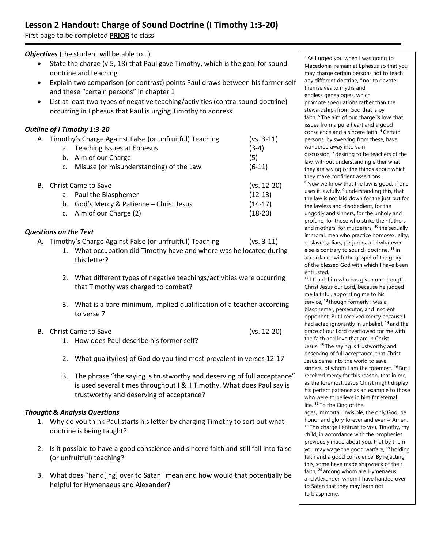# **Lesson 2 Handout: Charge of Sound Doctrine (I Timothy 1:3-20)**

First page to be completed **PRIOR** to class

**Objectives** (the student will be able to...)

- State the charge (v.5, 18) that Paul gave Timothy, which is the goal for sound doctrine and teaching
- Explain two comparison (or contrast) points Paul draws between his former self and these "certain persons" in chapter 1
- List at least two types of negative teaching/activities (contra-sound doctrine) occurring in Ephesus that Paul is urging Timothy to address

## *Outline of I Timothy 1:3-20*

|    | A. Timothy's Charge Against False (or unfruitful) Teaching |                                            | $(vs. 3-11)$  |
|----|------------------------------------------------------------|--------------------------------------------|---------------|
|    | а.                                                         | <b>Teaching Issues at Ephesus</b>          | $(3-4)$       |
|    |                                                            | b. Aim of our Charge                       | (5)           |
|    |                                                            | c. Misuse (or misunderstanding) of the Law | $(6-11)$      |
| В. | Christ Came to Save                                        |                                            | $(vs. 12-20)$ |
|    | а.                                                         | Paul the Blasphemer                        | $(12-13)$     |
|    | b.                                                         | God's Mercy & Patience - Christ Jesus      | $(14-17)$     |
|    |                                                            | c. Aim of our Charge (2)                   | $(18-20)$     |

### *Questions on the Text*

- A. Timothy's Charge Against False (or unfruitful) Teaching (vs. 3-11)
	- 1. What occupation did Timothy have and where was he located during this letter?
	- 2. What different types of negative teachings/activities were occurring that Timothy was charged to combat?
	- 3. What is a bare-minimum, implied qualification of a teacher according to verse 7
- B. Christ Came to Save (vs. 12-20) 1. How does Paul describe his former self?
	- 2. What quality(ies) of God do you find most prevalent in verses 12-17
	- 3. The phrase "the saying is trustworthy and deserving of full acceptance" is used several times throughout I & II Timothy. What does Paul say is trustworthy and deserving of acceptance?

### *Thought & Analysis Questions*

- 1. Why do you think Paul starts his letter by charging Timothy to sort out what doctrine is being taught?
- 2. Is it possible to have a good conscience and sincere faith and still fall into false (or unfruitful) teaching?
- 3. What does "hand[ing] over to Satan" mean and how would that potentially be helpful for Hymenaeus and Alexander?

**<sup>3</sup>** As I urged you when I was going to Macedonia, remain at Ephesus so that you may charge certain persons not to teach any different doctrine, **<sup>4</sup>** nor to devote themselves to myths and endless genealogies, which promote speculations rather than the stewardshi[p](https://www.biblegateway.com/passage/?search=1+Timothy+1%3A3-20&version=ESV#fen-ESV-29684a)<sup>®</sup> from God that is by faith. **<sup>5</sup>** The aim of our charge is love that issues from a pure heart and a good conscience and a sincere faith. **<sup>6</sup>** Certain persons, by swerving from these, have wandered away into vain discussion, **<sup>7</sup>** desiring to be teachers of the law, without understanding either what they are saying or the things about which they make confident assertions. **<sup>8</sup>** Now we know that the law is good, if one uses it lawfully, **<sup>9</sup>** understanding this, that the law is not laid down for the just but for the lawless and disobedient, for the ungodly and sinners, for the unholy and profane, for those who strike their fathers and mothers, for murderers, **<sup>10</sup>** the sexually immoral, men who practice homosexuality, enslaver[s,](https://www.biblegateway.com/passage/?search=1+Timothy+1%3A3-20&version=ESV#fen-ESV-29690b)<sup>[b]</sup> liars, perjurers, and whatever else is contrary to soun[d](https://www.biblegateway.com/passage/?search=1+Timothy+1%3A3-20&version=ESV#fen-ESV-29690c)[c] doctrine, **<sup>11</sup>** in accordance with the gospel of the glory of the blessed God with which I have been entrusted. **<sup>12</sup>** I thank him who has given me strength, Christ Jesus our Lord, because he judged me faithful, appointing me to his

service, **<sup>13</sup>** though formerly I was a blasphemer, persecutor, and insolent opponent. But I received mercy because I had acted ignorantly in unbelief, **<sup>14</sup>** and the grace of our Lord overflowed for me with the faith and love that are in Christ Jesus. **<sup>15</sup>** The saying is trustworthy and deserving of full acceptance, that Christ Jesus came into the world to save sinners, of whom I am the foremost. **<sup>16</sup>** But I received mercy for this reason, that in me, as the foremost, Jesus Christ might display his perfect patience as an example to those who were to believe in him for eternal life. **<sup>17</sup>** To the King of the ages, immortal, invisible, the only God, be honor and glory forever and ever.<sup>[\[d\]](https://www.biblegateway.com/passage/?search=1+Timothy+1%3A3-20&version=ESV#fen-ESV-29697d)</sup> Amen. **<sup>18</sup>** This charge I entrust to you, Timothy, my child, in accordance with the prophecies previously made about you, that by them you may wage the good warfare, **<sup>19</sup>** holding faith and a good conscience. By rejecting this, some have made shipwreck of their faith, **<sup>20</sup>** among whom are Hymenaeus and Alexander, whom I have handed over to Satan that they may learn not

to blaspheme.